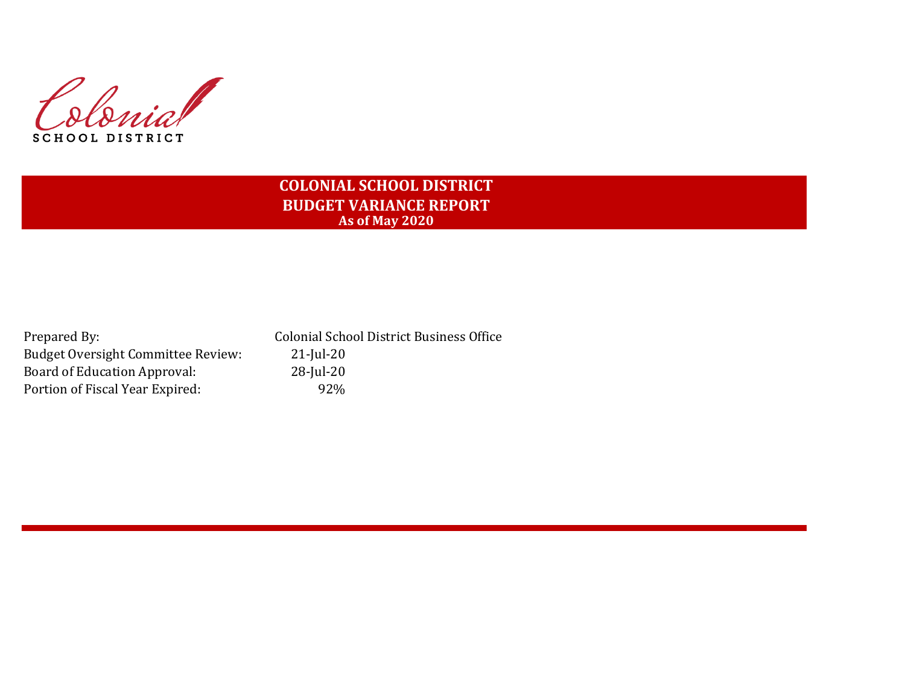Slonia **SCHOOL DISTRICT** 

# **COLONIAL SCHOOL DISTRICT BUDGET VARIANCE REPORT As of May 2020**

Prepared By: Colonial School District Business Office Budget Oversight Committee Review: 21-Jul-20 Board of Education Approval: 28-Jul-20 Portion of Fiscal Year Expired: 92%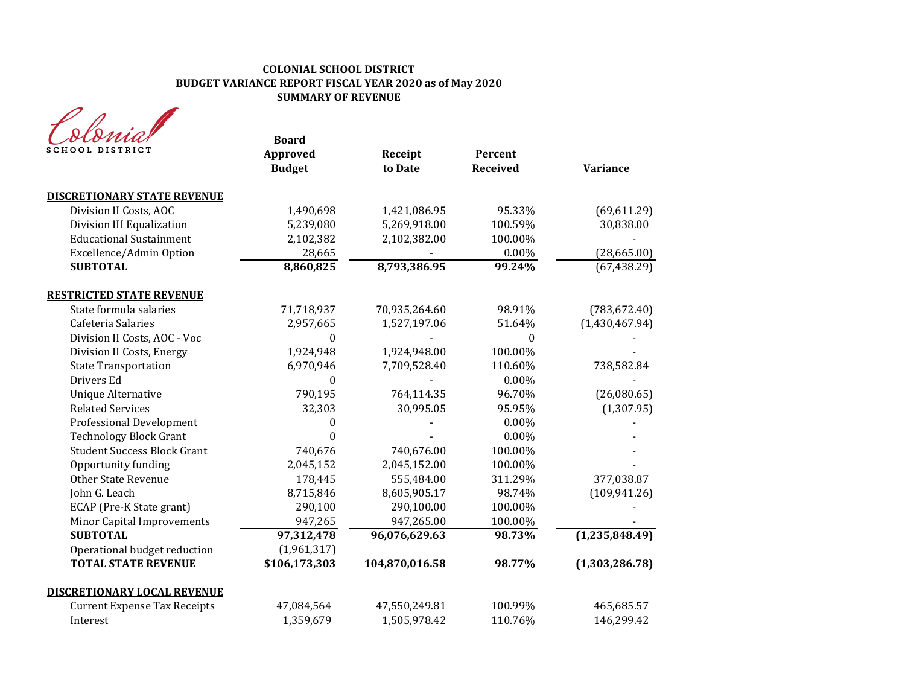## **COLONIAL SCHOOL DISTRICT BUDGET VARIANCE REPORT FISCAL YEAR 2020 as of May 2020 SUMMARY OF REVENUE**

| OOL DISTRICT                        | <b>Board</b><br>Approved<br><b>Budget</b> | Receipt<br>to Date | Percent<br><b>Received</b> | <b>Variance</b> |
|-------------------------------------|-------------------------------------------|--------------------|----------------------------|-----------------|
| <b>DISCRETIONARY STATE REVENUE</b>  |                                           |                    |                            |                 |
| Division II Costs, AOC              | 1,490,698                                 | 1,421,086.95       | 95.33%                     | (69, 611.29)    |
| Division III Equalization           | 5,239,080                                 | 5,269,918.00       | 100.59%                    | 30,838.00       |
| <b>Educational Sustainment</b>      | 2,102,382                                 | 2,102,382.00       | 100.00%                    |                 |
| Excellence/Admin Option             | 28,665                                    |                    | $0.00\%$                   | (28, 665.00)    |
| <b>SUBTOTAL</b>                     | 8,860,825                                 | 8,793,386.95       | 99.24%                     | (67, 438.29)    |
| <b>RESTRICTED STATE REVENUE</b>     |                                           |                    |                            |                 |
| State formula salaries              | 71,718,937                                | 70,935,264.60      | 98.91%                     | (783, 672.40)   |
| Cafeteria Salaries                  | 2,957,665                                 | 1,527,197.06       | 51.64%                     | (1,430,467.94)  |
| Division II Costs, AOC - Voc        | $\theta$                                  |                    | $\theta$                   |                 |
| Division II Costs, Energy           | 1,924,948                                 | 1,924,948.00       | 100.00%                    |                 |
| <b>State Transportation</b>         | 6,970,946                                 | 7,709,528.40       | 110.60%                    | 738,582.84      |
| Drivers Ed                          | $\Omega$                                  |                    | 0.00%                      |                 |
| <b>Unique Alternative</b>           | 790,195                                   | 764,114.35         | 96.70%                     | (26,080.65)     |
| <b>Related Services</b>             | 32,303                                    | 30,995.05          | 95.95%                     | (1, 307.95)     |
| <b>Professional Development</b>     | $\theta$                                  |                    | $0.00\%$                   |                 |
| <b>Technology Block Grant</b>       | $\theta$                                  |                    | 0.00%                      |                 |
| <b>Student Success Block Grant</b>  | 740,676                                   | 740,676.00         | 100.00%                    |                 |
| Opportunity funding                 | 2,045,152                                 | 2,045,152.00       | 100.00%                    |                 |
| <b>Other State Revenue</b>          | 178,445                                   | 555,484.00         | 311.29%                    | 377,038.87      |
| John G. Leach                       | 8,715,846                                 | 8,605,905.17       | 98.74%                     | (109, 941.26)   |
| ECAP (Pre-K State grant)            | 290,100                                   | 290,100.00         | 100.00%                    |                 |
| <b>Minor Capital Improvements</b>   | 947,265                                   | 947,265.00         | 100.00%                    |                 |
| <b>SUBTOTAL</b>                     | 97,312,478                                | 96,076,629.63      | 98.73%                     | (1,235,848.49)  |
| Operational budget reduction        | (1,961,317)                               |                    |                            |                 |
| <b>TOTAL STATE REVENUE</b>          | \$106,173,303                             | 104,870,016.58     | 98.77%                     | (1,303,286.78)  |
| <b>DISCRETIONARY LOCAL REVENUE</b>  |                                           |                    |                            |                 |
| <b>Current Expense Tax Receipts</b> | 47,084,564                                | 47,550,249.81      | 100.99%                    | 465,685.57      |
| Interest                            | 1,359,679                                 | 1,505,978.42       | 110.76%                    | 146,299.42      |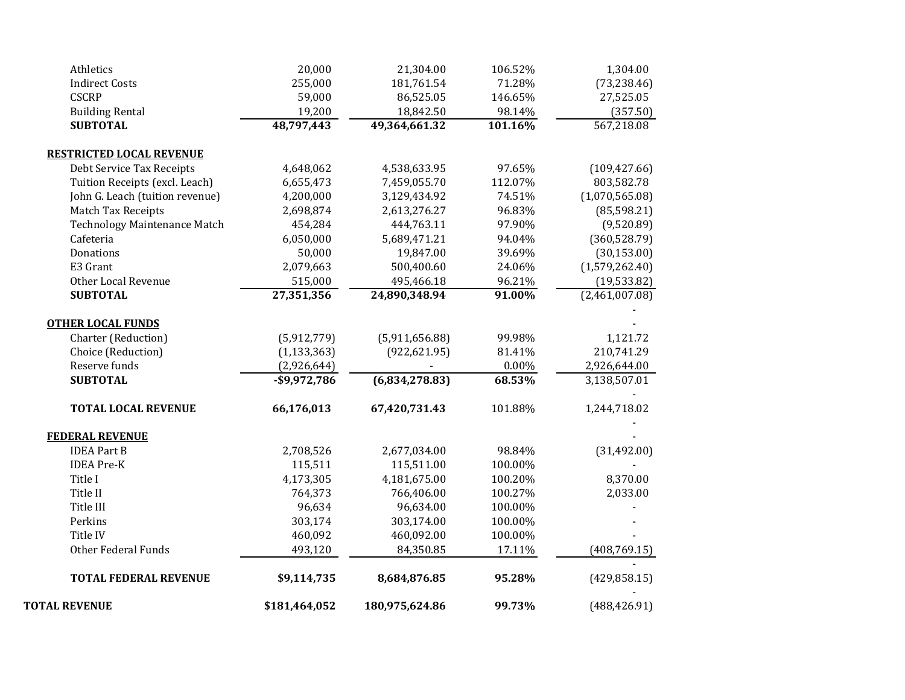| <b>TOTAL REVENUE</b>                                         | \$181,464,052   | 180,975,624.86 | 99.73%   | (488, 426.91)  |
|--------------------------------------------------------------|-----------------|----------------|----------|----------------|
| <b>TOTAL FEDERAL REVENUE</b>                                 | \$9,114,735     | 8,684,876.85   | 95.28%   | (429, 858.15)  |
| <b>Other Federal Funds</b>                                   | 493,120         | 84,350.85      | 17.11%   | (408, 769.15)  |
| Title IV                                                     | 460,092         | 460,092.00     | 100.00%  |                |
| Perkins                                                      | 303,174         | 303,174.00     | 100.00%  |                |
| Title III                                                    | 96,634          | 96,634.00      | 100.00%  |                |
| Title II                                                     | 764,373         | 766,406.00     | 100.27%  | 2,033.00       |
| Title I                                                      | 4,173,305       | 4,181,675.00   | 100.20%  | 8,370.00       |
| <b>IDEA Pre-K</b>                                            | 115,511         | 115,511.00     | 100.00%  |                |
| <b>IDEA Part B</b>                                           | 2,708,526       | 2,677,034.00   | 98.84%   | (31, 492.00)   |
| <b>FEDERAL REVENUE</b>                                       |                 |                |          |                |
| <b>TOTAL LOCAL REVENUE</b>                                   | 66,176,013      | 67,420,731.43  | 101.88%  | 1,244,718.02   |
| <b>SUBTOTAL</b>                                              | $-$ \$9,972,786 | (6,834,278.83) | 68.53%   | 3,138,507.01   |
| Reserve funds                                                | (2,926,644)     |                | $0.00\%$ | 2,926,644.00   |
| Choice (Reduction)                                           | (1, 133, 363)   | (922, 621.95)  | 81.41%   | 210,741.29     |
| Charter (Reduction)                                          | (5,912,779)     | (5,911,656.88) | 99.98%   | 1,121.72       |
| <b>OTHER LOCAL FUNDS</b>                                     |                 |                |          |                |
| <b>SUBTOTAL</b>                                              | 27,351,356      | 24,890,348.94  | 91.00%   | (2,461,007.08) |
| Other Local Revenue                                          | 515,000         | 495,466.18     | 96.21%   | (19, 533.82)   |
| E3 Grant                                                     | 2,079,663       | 500,400.60     | 24.06%   | (1,579,262.40) |
| Donations                                                    | 50,000          | 19,847.00      | 39.69%   | (30, 153.00)   |
| Cafeteria                                                    | 6,050,000       | 5,689,471.21   | 94.04%   | (360, 528.79)  |
| <b>Technology Maintenance Match</b>                          | 454,284         | 444,763.11     | 97.90%   | (9,520.89)     |
| Match Tax Receipts                                           | 2,698,874       | 2,613,276.27   | 96.83%   | (85, 598.21)   |
| John G. Leach (tuition revenue)                              | 4,200,000       | 3,129,434.92   | 74.51%   | (1,070,565.08) |
| Tuition Receipts (excl. Leach)                               | 6,655,473       | 7,459,055.70   | 112.07%  | 803,582.78     |
| <b>RESTRICTED LOCAL REVENUE</b><br>Debt Service Tax Receipts | 4,648,062       | 4,538,633.95   | 97.65%   | (109, 427.66)  |
|                                                              |                 |                |          |                |
| <b>SUBTOTAL</b>                                              | 48,797,443      | 49,364,661.32  | 101.16%  | 567,218.08     |
| <b>Building Rental</b>                                       | 19,200          | 18,842.50      | 98.14%   | (357.50)       |
| <b>CSCRP</b>                                                 | 59,000          | 86,525.05      | 146.65%  | 27,525.05      |
| <b>Indirect Costs</b>                                        | 255,000         | 181,761.54     | 71.28%   | (73, 238.46)   |
| Athletics                                                    | 20,000          | 21,304.00      | 106.52%  | 1,304.00       |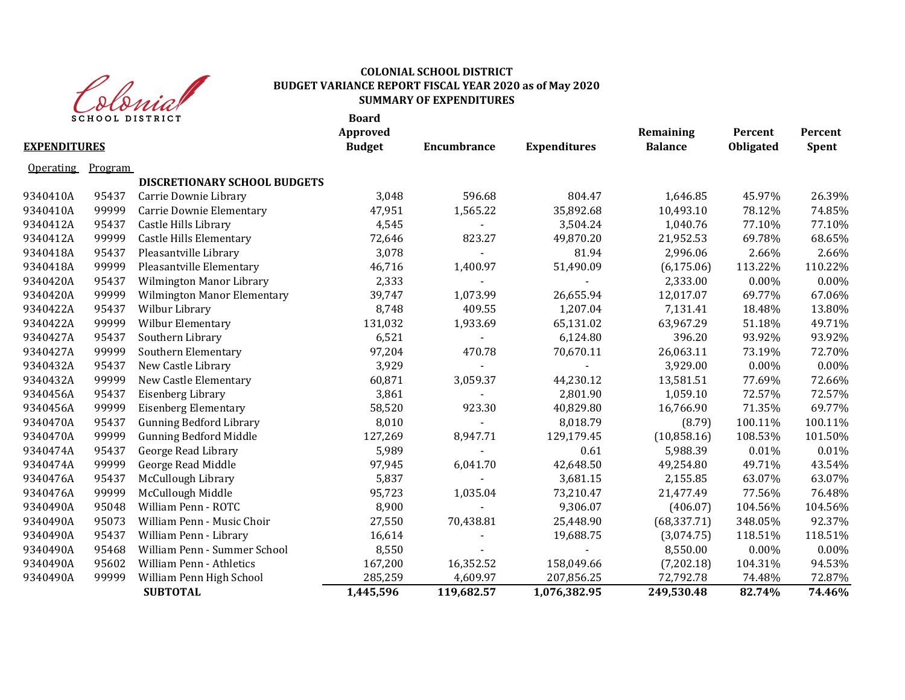

## **COLONIAL SCHOOL DISTRICT BUDGET VARIANCE REPORT FISCAL YEAR 2020 as of May 2020 SUMMARY OF EXPENDITURES**

| <b>SCHOOL DISTRICT</b> |         |                                    | <b>Board</b><br><b>Approved</b> |                    |                     | Remaining      | Percent          | Percent      |
|------------------------|---------|------------------------------------|---------------------------------|--------------------|---------------------|----------------|------------------|--------------|
| <b>EXPENDITURES</b>    |         |                                    | <b>Budget</b>                   | <b>Encumbrance</b> | <b>Expenditures</b> | <b>Balance</b> | <b>Obligated</b> | <b>Spent</b> |
| Operating              | Program |                                    |                                 |                    |                     |                |                  |              |
|                        |         | DISCRETIONARY SCHOOL BUDGETS       |                                 |                    |                     |                |                  |              |
| 9340410A               | 95437   | Carrie Downie Library              | 3,048                           | 596.68             | 804.47              | 1,646.85       | 45.97%           | 26.39%       |
| 9340410A               | 99999   | Carrie Downie Elementary           | 47,951                          | 1,565.22           | 35,892.68           | 10,493.10      | 78.12%           | 74.85%       |
| 9340412A               | 95437   | Castle Hills Library               | 4,545                           |                    | 3,504.24            | 1,040.76       | 77.10%           | 77.10%       |
| 9340412A               | 99999   | <b>Castle Hills Elementary</b>     | 72,646                          | 823.27             | 49,870.20           | 21,952.53      | 69.78%           | 68.65%       |
| 9340418A               | 95437   | Pleasantville Library              | 3,078                           |                    | 81.94               | 2,996.06       | 2.66%            | 2.66%        |
| 9340418A               | 99999   | Pleasantville Elementary           | 46,716                          | 1,400.97           | 51,490.09           | (6, 175.06)    | 113.22%          | 110.22%      |
| 9340420A               | 95437   | Wilmington Manor Library           | 2,333                           |                    |                     | 2,333.00       | 0.00%            | $0.00\%$     |
| 9340420A               | 99999   | <b>Wilmington Manor Elementary</b> | 39,747                          | 1,073.99           | 26,655.94           | 12,017.07      | 69.77%           | 67.06%       |
| 9340422A               | 95437   | Wilbur Library                     | 8,748                           | 409.55             | 1,207.04            | 7,131.41       | 18.48%           | 13.80%       |
| 9340422A               | 99999   | Wilbur Elementary                  | 131,032                         | 1,933.69           | 65,131.02           | 63,967.29      | 51.18%           | 49.71%       |
| 9340427A               | 95437   | Southern Library                   | 6,521                           |                    | 6,124.80            | 396.20         | 93.92%           | 93.92%       |
| 9340427A               | 99999   | Southern Elementary                | 97,204                          | 470.78             | 70,670.11           | 26,063.11      | 73.19%           | 72.70%       |
| 9340432A               | 95437   | New Castle Library                 | 3,929                           |                    |                     | 3,929.00       | 0.00%            | 0.00%        |
| 9340432A               | 99999   | New Castle Elementary              | 60,871                          | 3,059.37           | 44,230.12           | 13,581.51      | 77.69%           | 72.66%       |
| 9340456A               | 95437   | Eisenberg Library                  | 3,861                           |                    | 2,801.90            | 1,059.10       | 72.57%           | 72.57%       |
| 9340456A               | 99999   | <b>Eisenberg Elementary</b>        | 58,520                          | 923.30             | 40,829.80           | 16,766.90      | 71.35%           | 69.77%       |
| 9340470A               | 95437   | <b>Gunning Bedford Library</b>     | 8,010                           |                    | 8,018.79            | (8.79)         | 100.11%          | 100.11%      |
| 9340470A               | 99999   | <b>Gunning Bedford Middle</b>      | 127,269                         | 8,947.71           | 129,179.45          | (10,858.16)    | 108.53%          | 101.50%      |
| 9340474A               | 95437   | George Read Library                | 5,989                           |                    | 0.61                | 5,988.39       | 0.01%            | 0.01%        |
| 9340474A               | 99999   | George Read Middle                 | 97,945                          | 6,041.70           | 42,648.50           | 49,254.80      | 49.71%           | 43.54%       |
| 9340476A               | 95437   | McCullough Library                 | 5,837                           |                    | 3,681.15            | 2,155.85       | 63.07%           | 63.07%       |
| 9340476A               | 99999   | McCullough Middle                  | 95,723                          | 1,035.04           | 73,210.47           | 21,477.49      | 77.56%           | 76.48%       |
| 9340490A               | 95048   | William Penn - ROTC                | 8,900                           |                    | 9,306.07            | (406.07)       | 104.56%          | 104.56%      |
| 9340490A               | 95073   | William Penn - Music Choir         | 27,550                          | 70,438.81          | 25,448.90           | (68, 337.71)   | 348.05%          | 92.37%       |
| 9340490A               | 95437   | William Penn - Library             | 16,614                          |                    | 19,688.75           | (3,074.75)     | 118.51%          | 118.51%      |
| 9340490A               | 95468   | William Penn - Summer School       | 8,550                           |                    |                     | 8,550.00       | 0.00%            | 0.00%        |
| 9340490A               | 95602   | William Penn - Athletics           | 167,200                         | 16,352.52          | 158,049.66          | (7,202.18)     | 104.31%          | 94.53%       |
| 9340490A               | 99999   | William Penn High School           | 285,259                         | 4,609.97           | 207,856.25          | 72,792.78      | 74.48%           | 72.87%       |
|                        |         | <b>SUBTOTAL</b>                    | 1,445,596                       | 119,682.57         | 1,076,382.95        | 249,530.48     | 82.74%           | 74.46%       |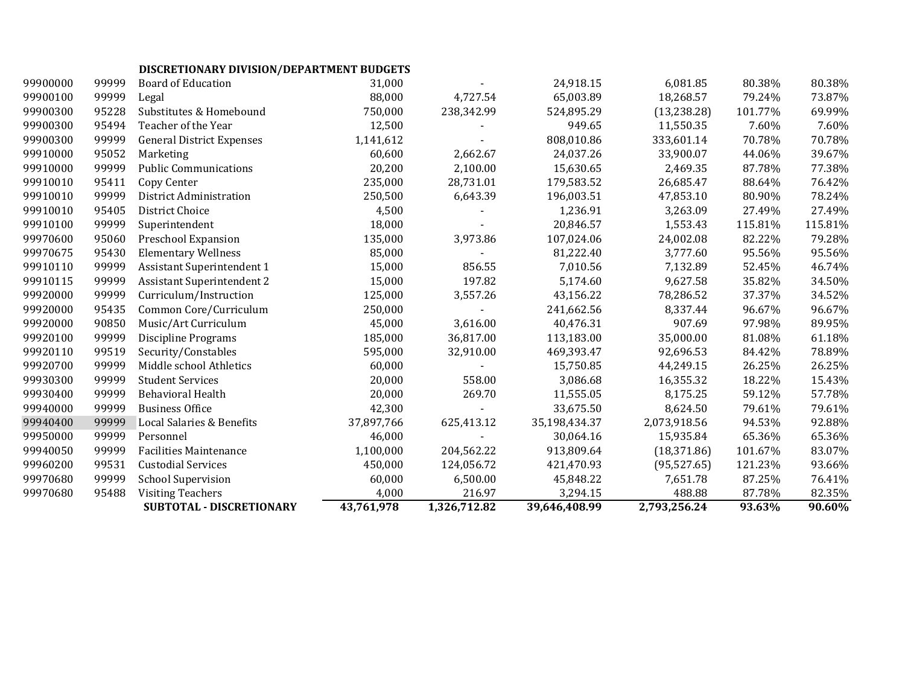# **DISCRETIONARY DIVISION/DEPARTMENT BUDGETS**

|          |       | SUBTOTAL - DISCRETIONARY          | 43,761,978 | 1,326,712.82 | 39,646,408.99 | 2,793,256.24 | 93.63%  | 90.60%  |
|----------|-------|-----------------------------------|------------|--------------|---------------|--------------|---------|---------|
| 99970680 | 95488 | <b>Visiting Teachers</b>          | 4,000      | 216.97       | 3,294.15      | 488.88       | 87.78%  | 82.35%  |
| 99970680 | 99999 | <b>School Supervision</b>         | 60,000     | 6,500.00     | 45,848.22     | 7,651.78     | 87.25%  | 76.41%  |
| 99960200 | 99531 | <b>Custodial Services</b>         | 450,000    | 124,056.72   | 421,470.93    | (95, 527.65) | 121.23% | 93.66%  |
| 99940050 | 99999 | <b>Facilities Maintenance</b>     | 1,100,000  | 204,562.22   | 913,809.64    | (18, 371.86) | 101.67% | 83.07%  |
| 99950000 | 99999 | Personnel                         | 46,000     |              | 30,064.16     | 15,935.84    | 65.36%  | 65.36%  |
| 99940400 | 99999 | Local Salaries & Benefits         | 37,897,766 | 625,413.12   | 35,198,434.37 | 2,073,918.56 | 94.53%  | 92.88%  |
| 99940000 | 99999 | <b>Business Office</b>            | 42,300     |              | 33,675.50     | 8,624.50     | 79.61%  | 79.61%  |
| 99930400 | 99999 | <b>Behavioral Health</b>          | 20,000     | 269.70       | 11,555.05     | 8,175.25     | 59.12%  | 57.78%  |
| 99930300 | 99999 | <b>Student Services</b>           | 20,000     | 558.00       | 3,086.68      | 16,355.32    | 18.22%  | 15.43%  |
| 99920700 | 99999 | Middle school Athletics           | 60,000     |              | 15,750.85     | 44,249.15    | 26.25%  | 26.25%  |
| 99920110 | 99519 | Security/Constables               | 595,000    | 32,910.00    | 469,393.47    | 92,696.53    | 84.42%  | 78.89%  |
| 99920100 | 99999 | <b>Discipline Programs</b>        | 185,000    | 36,817.00    | 113,183.00    | 35,000.00    | 81.08%  | 61.18%  |
| 99920000 | 90850 | Music/Art Curriculum              | 45,000     | 3,616.00     | 40,476.31     | 907.69       | 97.98%  | 89.95%  |
| 99920000 | 95435 | Common Core/Curriculum            | 250,000    |              | 241,662.56    | 8,337.44     | 96.67%  | 96.67%  |
| 99920000 | 99999 | Curriculum/Instruction            | 125,000    | 3,557.26     | 43,156.22     | 78,286.52    | 37.37%  | 34.52%  |
| 99910115 | 99999 | <b>Assistant Superintendent 2</b> | 15,000     | 197.82       | 5,174.60      | 9,627.58     | 35.82%  | 34.50%  |
| 99910110 | 99999 | <b>Assistant Superintendent 1</b> | 15,000     | 856.55       | 7,010.56      | 7,132.89     | 52.45%  | 46.74%  |
| 99970675 | 95430 | <b>Elementary Wellness</b>        | 85,000     |              | 81,222.40     | 3,777.60     | 95.56%  | 95.56%  |
| 99970600 | 95060 | Preschool Expansion               | 135,000    | 3,973.86     | 107,024.06    | 24,002.08    | 82.22%  | 79.28%  |
| 99910100 | 99999 | Superintendent                    | 18,000     |              | 20,846.57     | 1,553.43     | 115.81% | 115.81% |
| 99910010 | 95405 | District Choice                   | 4,500      |              | 1,236.91      | 3,263.09     | 27.49%  | 27.49%  |
| 99910010 | 99999 | <b>District Administration</b>    | 250,500    | 6,643.39     | 196,003.51    | 47,853.10    | 80.90%  | 78.24%  |
| 99910010 | 95411 | Copy Center                       | 235,000    | 28,731.01    | 179,583.52    | 26,685.47    | 88.64%  | 76.42%  |
| 99910000 | 99999 | <b>Public Communications</b>      | 20,200     | 2,100.00     | 15,630.65     | 2,469.35     | 87.78%  | 77.38%  |
| 99910000 | 95052 | Marketing                         | 60,600     | 2,662.67     | 24,037.26     | 33,900.07    | 44.06%  | 39.67%  |
| 99900300 | 99999 | <b>General District Expenses</b>  | 1,141,612  |              | 808,010.86    | 333,601.14   | 70.78%  | 70.78%  |
| 99900300 | 95494 | Teacher of the Year               | 12,500     |              | 949.65        | 11,550.35    | 7.60%   | 7.60%   |
| 99900300 | 95228 | Substitutes & Homebound           | 750,000    | 238,342.99   | 524,895.29    | (13, 238.28) | 101.77% | 69.99%  |
| 99900100 | 99999 | Legal                             | 88,000     | 4,727.54     | 65,003.89     | 18,268.57    | 79.24%  | 73.87%  |
| 99900000 | 99999 | <b>Board of Education</b>         | 31,000     |              | 24,918.15     | 6,081.85     | 80.38%  | 80.38%  |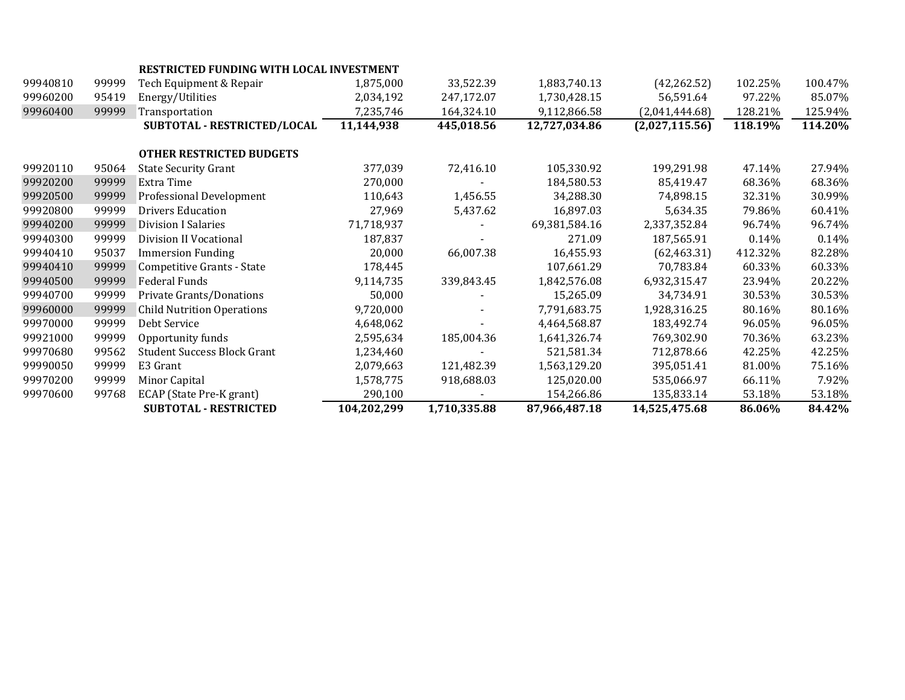|          |       | <b>RESTRICTED FUNDING WITH LOCAL INVESTMENT</b> |             |              |               |                |         |         |
|----------|-------|-------------------------------------------------|-------------|--------------|---------------|----------------|---------|---------|
| 99940810 | 99999 | Tech Equipment & Repair                         | 1,875,000   | 33,522.39    | 1,883,740.13  | (42, 262.52)   | 102.25% | 100.47% |
| 99960200 | 95419 | Energy/Utilities                                | 2,034,192   | 247,172.07   | 1,730,428.15  | 56,591.64      | 97.22%  | 85.07%  |
| 99960400 | 99999 | Transportation                                  | 7,235,746   | 164,324.10   | 9,112,866.58  | (2,041,444.68) | 128.21% | 125.94% |
|          |       | SUBTOTAL - RESTRICTED/LOCAL                     | 11,144,938  | 445,018.56   | 12,727,034.86 | (2,027,115.56) | 118.19% | 114.20% |
|          |       |                                                 |             |              |               |                |         |         |
|          |       | <b>OTHER RESTRICTED BUDGETS</b>                 |             |              |               |                |         |         |
| 99920110 | 95064 | <b>State Security Grant</b>                     | 377,039     | 72,416.10    | 105,330.92    | 199,291.98     | 47.14%  | 27.94%  |
| 99920200 | 99999 | Extra Time                                      | 270,000     |              | 184,580.53    | 85,419.47      | 68.36%  | 68.36%  |
| 99920500 | 99999 | Professional Development                        | 110,643     | 1,456.55     | 34,288.30     | 74,898.15      | 32.31%  | 30.99%  |
| 99920800 | 99999 | <b>Drivers Education</b>                        | 27,969      | 5,437.62     | 16,897.03     | 5,634.35       | 79.86%  | 60.41%  |
| 99940200 | 99999 | Division I Salaries                             | 71,718,937  |              | 69,381,584.16 | 2,337,352.84   | 96.74%  | 96.74%  |
| 99940300 | 99999 | Division II Vocational                          | 187,837     |              | 271.09        | 187,565.91     | 0.14%   | 0.14%   |
| 99940410 | 95037 | <b>Immersion Funding</b>                        | 20,000      | 66,007.38    | 16,455.93     | (62, 463.31)   | 412.32% | 82.28%  |
| 99940410 | 99999 | Competitive Grants - State                      | 178,445     |              | 107,661.29    | 70,783.84      | 60.33%  | 60.33%  |
| 99940500 | 99999 | <b>Federal Funds</b>                            | 9,114,735   | 339,843.45   | 1,842,576.08  | 6,932,315.47   | 23.94%  | 20.22%  |
| 99940700 | 99999 | Private Grants/Donations                        | 50,000      |              | 15,265.09     | 34,734.91      | 30.53%  | 30.53%  |
| 99960000 | 99999 | <b>Child Nutrition Operations</b>               | 9,720,000   |              | 7,791,683.75  | 1,928,316.25   | 80.16%  | 80.16%  |
| 99970000 | 99999 | Debt Service                                    | 4,648,062   |              | 4,464,568.87  | 183,492.74     | 96.05%  | 96.05%  |
| 99921000 | 99999 | Opportunity funds                               | 2,595,634   | 185,004.36   | 1,641,326.74  | 769,302.90     | 70.36%  | 63.23%  |
| 99970680 | 99562 | <b>Student Success Block Grant</b>              | 1,234,460   |              | 521,581.34    | 712,878.66     | 42.25%  | 42.25%  |
| 99990050 | 99999 | E3 Grant                                        | 2,079,663   | 121,482.39   | 1,563,129.20  | 395,051.41     | 81.00%  | 75.16%  |
| 99970200 | 99999 | Minor Capital                                   | 1,578,775   | 918,688.03   | 125,020.00    | 535,066.97     | 66.11%  | 7.92%   |
| 99970600 | 99768 | ECAP (State Pre-K grant)                        | 290,100     |              | 154,266.86    | 135,833.14     | 53.18%  | 53.18%  |
|          |       | <b>SUBTOTAL - RESTRICTED</b>                    | 104,202,299 | 1,710,335.88 | 87,966,487.18 | 14,525,475.68  | 86.06%  | 84.42%  |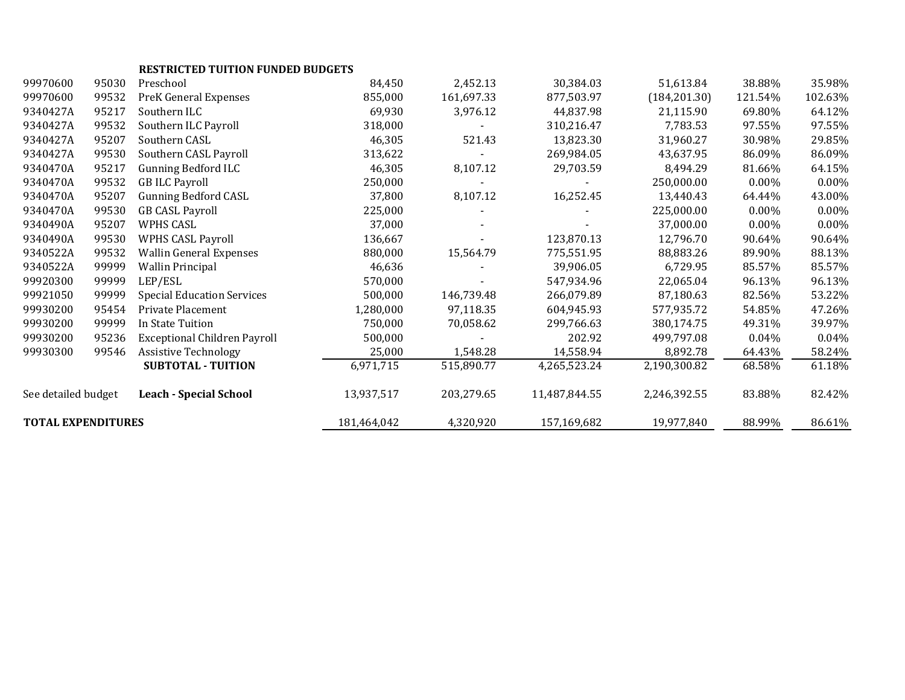|                           |       | <b>RESTRICTED TUITION FUNDED BUDGETS</b> |             |            |               |               |          |         |
|---------------------------|-------|------------------------------------------|-------------|------------|---------------|---------------|----------|---------|
| 99970600                  | 95030 | Preschool                                | 84,450      | 2,452.13   | 30,384.03     | 51,613.84     | 38.88%   | 35.98%  |
| 99970600                  | 99532 | PreK General Expenses                    | 855,000     | 161,697.33 | 877,503.97    | (184, 201.30) | 121.54%  | 102.63% |
| 9340427A                  | 95217 | Southern ILC                             | 69,930      | 3,976.12   | 44.837.98     | 21,115.90     | 69.80%   | 64.12%  |
| 9340427A                  | 99532 | Southern ILC Payroll                     | 318,000     |            | 310,216.47    | 7,783.53      | 97.55%   | 97.55%  |
| 9340427A                  | 95207 | Southern CASL                            | 46,305      | 521.43     | 13,823.30     | 31,960.27     | 30.98%   | 29.85%  |
| 9340427A                  | 99530 | Southern CASL Payroll                    | 313,622     |            | 269,984.05    | 43,637.95     | 86.09%   | 86.09%  |
| 9340470A                  | 95217 | <b>Gunning Bedford ILC</b>               | 46,305      | 8,107.12   | 29,703.59     | 8,494.29      | 81.66%   | 64.15%  |
| 9340470A                  | 99532 | <b>GB ILC Payroll</b>                    | 250,000     |            |               | 250,000.00    | $0.00\%$ | 0.00%   |
| 9340470A                  | 95207 | <b>Gunning Bedford CASL</b>              | 37,800      | 8,107.12   | 16,252.45     | 13,440.43     | 64.44%   | 43.00%  |
| 9340470A                  | 99530 | <b>GB CASL Payroll</b>                   | 225,000     |            |               | 225,000.00    | $0.00\%$ | 0.00%   |
| 9340490A                  | 95207 | WPHS CASL                                | 37,000      |            |               | 37,000.00     | $0.00\%$ | 0.00%   |
| 9340490A                  | 99530 | <b>WPHS CASL Payroll</b>                 | 136,667     |            | 123,870.13    | 12,796.70     | 90.64%   | 90.64%  |
| 9340522A                  | 99532 | <b>Wallin General Expenses</b>           | 880,000     | 15,564.79  | 775,551.95    | 88,883.26     | 89.90%   | 88.13%  |
| 9340522A                  | 99999 | <b>Wallin Principal</b>                  | 46,636      |            | 39,906.05     | 6,729.95      | 85.57%   | 85.57%  |
| 99920300                  | 99999 | LEP/ESL                                  | 570,000     |            | 547,934.96    | 22,065.04     | 96.13%   | 96.13%  |
| 99921050                  | 99999 | <b>Special Education Services</b>        | 500,000     | 146,739.48 | 266,079.89    | 87,180.63     | 82.56%   | 53.22%  |
| 99930200                  | 95454 | Private Placement                        | 1,280,000   | 97,118.35  | 604,945.93    | 577,935.72    | 54.85%   | 47.26%  |
| 99930200                  | 99999 | In State Tuition                         | 750,000     | 70,058.62  | 299,766.63    | 380,174.75    | 49.31%   | 39.97%  |
| 99930200                  | 95236 | <b>Exceptional Children Payroll</b>      | 500,000     |            | 202.92        | 499,797.08    | 0.04%    | 0.04%   |
| 99930300                  | 99546 | <b>Assistive Technology</b>              | 25,000      | 1,548.28   | 14,558.94     | 8,892.78      | 64.43%   | 58.24%  |
|                           |       | <b>SUBTOTAL - TUITION</b>                | 6,971,715   | 515,890.77 | 4,265,523.24  | 2,190,300.82  | 68.58%   | 61.18%  |
| See detailed budget       |       | <b>Leach - Special School</b>            | 13,937,517  | 203,279.65 | 11,487,844.55 | 2,246,392.55  | 83.88%   | 82.42%  |
| <b>TOTAL EXPENDITURES</b> |       |                                          | 181,464,042 | 4,320,920  | 157,169,682   | 19,977,840    | 88.99%   | 86.61%  |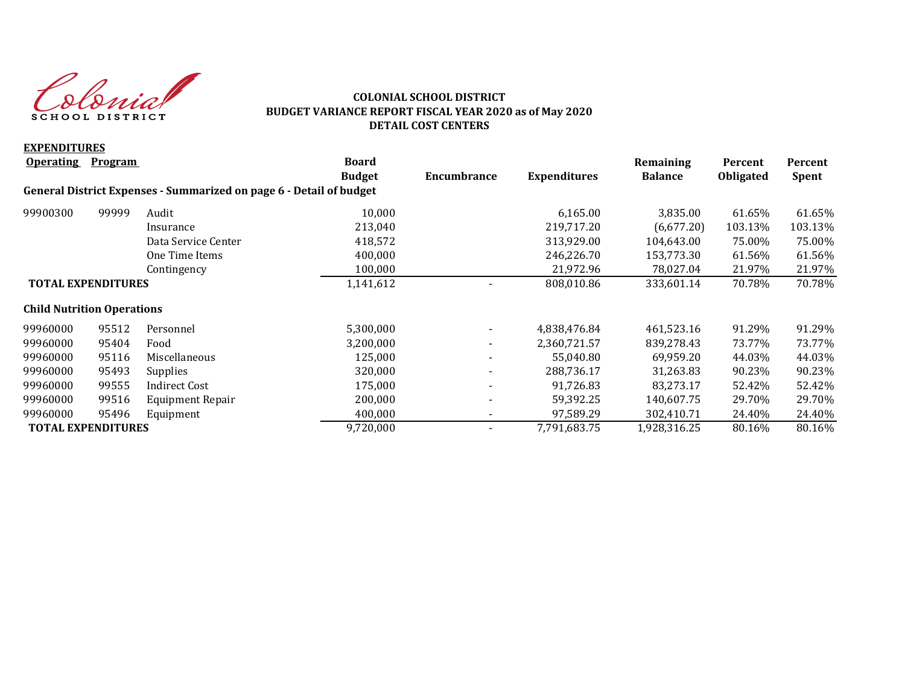donial SCHOOL DISTRICT

## **COLONIAL SCHOOL DISTRICT BUDGET VARIANCE REPORT FISCAL YEAR 2020 as of May 2020 DETAIL COST CENTERS**

| <b>EXPENDITURES</b>               |                |                                                                     |               |                          |                     |                |                  |              |
|-----------------------------------|----------------|---------------------------------------------------------------------|---------------|--------------------------|---------------------|----------------|------------------|--------------|
| <b>Operating</b>                  | <b>Program</b> |                                                                     | <b>Board</b>  |                          |                     | Remaining      | Percent          | Percent      |
|                                   |                |                                                                     | <b>Budget</b> | Encumbrance              | <b>Expenditures</b> | <b>Balance</b> | <b>Obligated</b> | <b>Spent</b> |
|                                   |                | General District Expenses - Summarized on page 6 - Detail of budget |               |                          |                     |                |                  |              |
| 99900300                          | 99999          | Audit                                                               | 10,000        |                          | 6,165.00            | 3,835.00       | 61.65%           | 61.65%       |
|                                   |                | Insurance                                                           | 213,040       |                          | 219,717.20          | (6,677.20)     | 103.13%          | 103.13%      |
|                                   |                | Data Service Center                                                 | 418,572       |                          | 313,929.00          | 104,643.00     | 75.00%           | 75.00%       |
|                                   |                | One Time Items                                                      | 400,000       |                          | 246,226.70          | 153,773.30     | 61.56%           | 61.56%       |
|                                   |                | Contingency                                                         | 100,000       |                          | 21,972.96           | 78,027.04      | 21.97%           | 21.97%       |
| <b>TOTAL EXPENDITURES</b>         |                | 1,141,612                                                           |               | 808,010.86               | 333,601.14          | 70.78%         | 70.78%           |              |
| <b>Child Nutrition Operations</b> |                |                                                                     |               |                          |                     |                |                  |              |
| 99960000                          | 95512          | Personnel                                                           | 5,300,000     |                          | 4,838,476.84        | 461,523.16     | 91.29%           | 91.29%       |
| 99960000                          | 95404          | Food                                                                | 3,200,000     | $\overline{\phantom{0}}$ | 2,360,721.57        | 839,278.43     | 73.77%           | 73.77%       |
| 99960000                          | 95116          | Miscellaneous                                                       | 125,000       |                          | 55,040.80           | 69,959.20      | 44.03%           | 44.03%       |
| 99960000                          | 95493          | Supplies                                                            | 320,000       |                          | 288,736.17          | 31,263.83      | 90.23%           | 90.23%       |
| 99960000                          | 99555          | <b>Indirect Cost</b>                                                | 175,000       |                          | 91,726.83           | 83,273.17      | 52.42%           | 52.42%       |
| 99960000                          | 99516          | Equipment Repair                                                    | 200,000       |                          | 59,392.25           | 140,607.75     | 29.70%           | 29.70%       |
| 99960000                          | 95496          | Equipment                                                           | 400,000       |                          | 97,589.29           | 302,410.71     | 24.40%           | 24.40%       |
| <b>TOTAL EXPENDITURES</b>         |                |                                                                     | 9,720,000     |                          | 7,791,683.75        | 1,928,316.25   | 80.16%           | 80.16%       |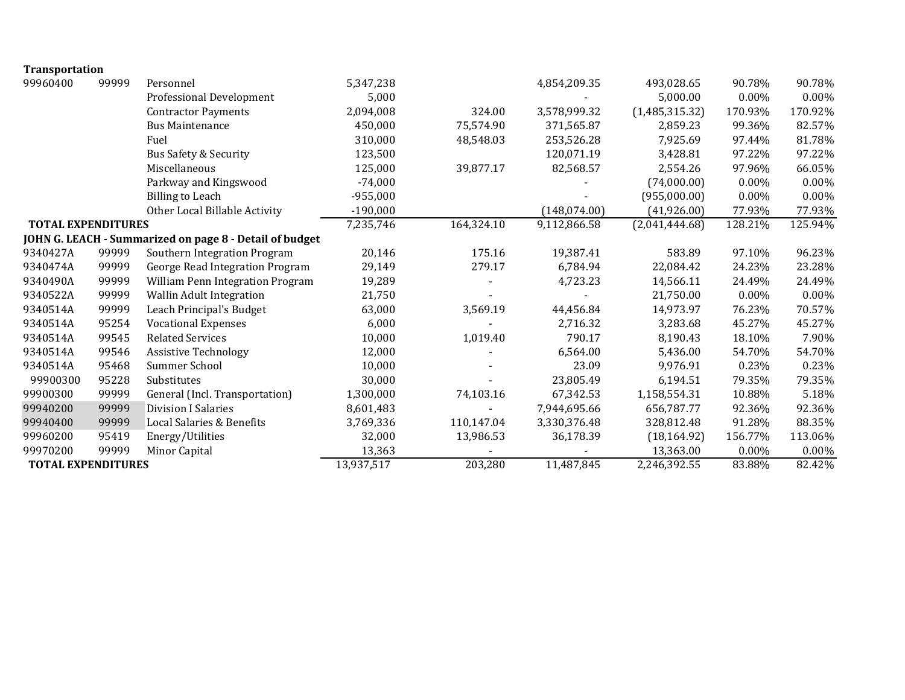| <b>Transportation</b>     |       |                                                         |            |              |                |                |          |          |
|---------------------------|-------|---------------------------------------------------------|------------|--------------|----------------|----------------|----------|----------|
| 99960400                  | 99999 | Personnel                                               | 5,347,238  |              | 4,854,209.35   | 493,028.65     | 90.78%   | 90.78%   |
|                           |       | Professional Development                                | 5,000      |              |                | 5,000.00       | 0.00%    | $0.00\%$ |
|                           |       | <b>Contractor Payments</b>                              | 2,094,008  | 324.00       | 3,578,999.32   | (1,485,315.32) | 170.93%  | 170.92%  |
|                           |       | <b>Bus Maintenance</b>                                  | 450,000    | 75,574.90    | 371,565.87     | 2,859.23       | 99.36%   | 82.57%   |
|                           |       | Fuel                                                    | 310,000    | 48,548.03    | 253,526.28     | 7,925.69       | 97.44%   | 81.78%   |
|                           |       | Bus Safety & Security                                   | 123,500    |              | 120,071.19     | 3,428.81       | 97.22%   | 97.22%   |
|                           |       | Miscellaneous                                           | 125,000    | 39,877.17    | 82,568.57      | 2,554.26       | 97.96%   | 66.05%   |
|                           |       | Parkway and Kingswood                                   | $-74,000$  |              |                | (74,000.00)    | 0.00%    | 0.00%    |
|                           |       | <b>Billing to Leach</b>                                 | $-955,000$ |              |                | (955,000.00)   | 0.00%    | $0.00\%$ |
|                           |       | Other Local Billable Activity                           | $-190,000$ |              | (148, 074.00)  | (41,926.00)    | 77.93%   | 77.93%   |
| <b>TOTAL EXPENDITURES</b> |       | 7,235,746                                               | 164,324.10 | 9,112,866.58 | (2,041,444.68) | 128.21%        | 125.94%  |          |
|                           |       | JOHN G. LEACH - Summarized on page 8 - Detail of budget |            |              |                |                |          |          |
| 9340427A                  | 99999 | Southern Integration Program                            | 20,146     | 175.16       | 19,387.41      | 583.89         | 97.10%   | 96.23%   |
| 9340474A                  | 99999 | George Read Integration Program                         | 29,149     | 279.17       | 6,784.94       | 22,084.42      | 24.23%   | 23.28%   |
| 9340490A                  | 99999 | William Penn Integration Program                        | 19,289     |              | 4,723.23       | 14,566.11      | 24.49%   | 24.49%   |
| 9340522A                  | 99999 | Wallin Adult Integration                                | 21,750     |              |                | 21,750.00      | $0.00\%$ | $0.00\%$ |
| 9340514A                  | 99999 | Leach Principal's Budget                                | 63,000     | 3,569.19     | 44,456.84      | 14,973.97      | 76.23%   | 70.57%   |
| 9340514A                  | 95254 | <b>Vocational Expenses</b>                              | 6,000      |              | 2,716.32       | 3,283.68       | 45.27%   | 45.27%   |
| 9340514A                  | 99545 | <b>Related Services</b>                                 | 10,000     | 1,019.40     | 790.17         | 8,190.43       | 18.10%   | 7.90%    |
| 9340514A                  | 99546 | <b>Assistive Technology</b>                             | 12,000     |              | 6,564.00       | 5,436.00       | 54.70%   | 54.70%   |
| 9340514A                  | 95468 | Summer School                                           | 10,000     |              | 23.09          | 9,976.91       | 0.23%    | 0.23%    |
| 99900300                  | 95228 | Substitutes                                             | 30,000     |              | 23,805.49      | 6,194.51       | 79.35%   | 79.35%   |
| 99900300                  | 99999 | General (Incl. Transportation)                          | 1,300,000  | 74,103.16    | 67,342.53      | 1,158,554.31   | 10.88%   | 5.18%    |
| 99940200                  | 99999 | <b>Division I Salaries</b>                              | 8,601,483  |              | 7,944,695.66   | 656,787.77     | 92.36%   | 92.36%   |
| 99940400                  | 99999 | Local Salaries & Benefits                               | 3,769,336  | 110,147.04   | 3,330,376.48   | 328,812.48     | 91.28%   | 88.35%   |
| 99960200                  | 95419 | Energy/Utilities                                        | 32,000     | 13,986.53    | 36,178.39      | (18, 164.92)   | 156.77%  | 113.06%  |
| 99970200                  | 99999 | Minor Capital                                           | 13,363     |              |                | 13,363.00      | 0.00%    | 0.00%    |
| <b>TOTAL EXPENDITURES</b> |       |                                                         | 13,937,517 | 203,280      | 11,487,845     | 2,246,392.55   | 83.88%   | 82.42%   |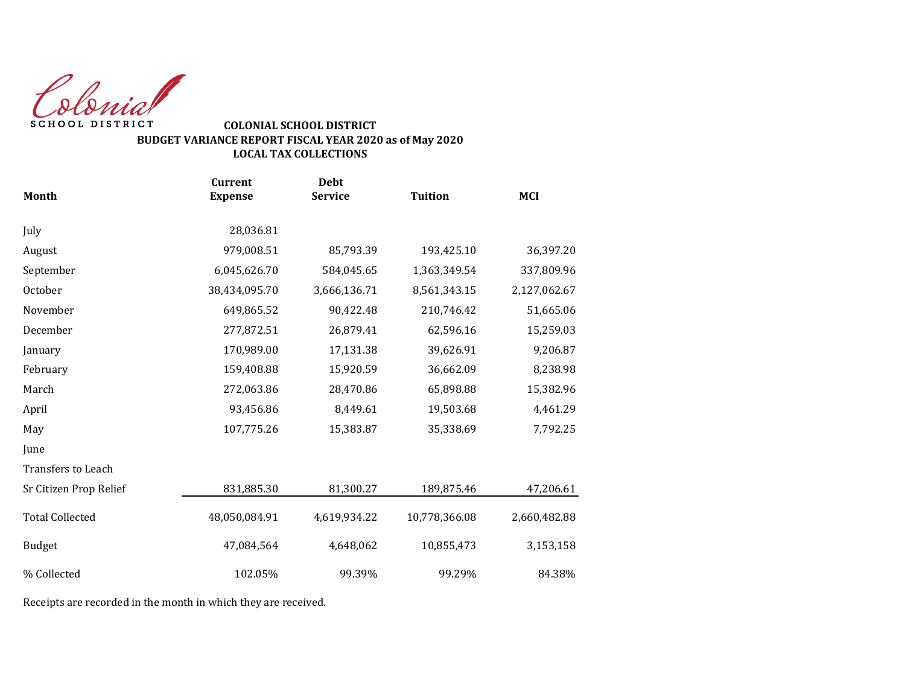Colonial SCHOOL DISTRICT

## **COLONIAL SCHOOL DISTRICT BUDGET VARIANCE REPORT FISCAL YEAR 2020 as of May 2020 LOCAL TAX COLLECTIONS**

|                        | <b>Current</b> | <b>Debt</b>    |                |              |
|------------------------|----------------|----------------|----------------|--------------|
| Month                  | <b>Expense</b> | <b>Service</b> | <b>Tuition</b> | <b>MCI</b>   |
| July                   | 28,036.81      |                |                |              |
| August                 | 979,008.51     | 85,793.39      | 193,425.10     | 36,397.20    |
| September              | 6,045,626.70   | 584,045.65     | 1,363,349.54   | 337,809.96   |
| October                | 38,434,095.70  | 3,666,136.71   | 8,561,343.15   | 2,127,062.67 |
| November               | 649,865.52     | 90,422.48      | 210,746.42     | 51,665.06    |
| December               | 277,872.51     | 26,879.41      | 62,596.16      | 15,259.03    |
| January                | 170,989.00     | 17,131.38      | 39,626.91      | 9,206.87     |
| February               | 159,408.88     | 15,920.59      | 36,662.09      | 8,238.98     |
| March                  | 272,063.86     | 28,470.86      | 65,898.88      | 15,382.96    |
| April                  | 93,456.86      | 8,449.61       | 19,503.68      | 4,461.29     |
| May                    | 107,775.26     | 15,383.87      | 35,338.69      | 7,792.25     |
| June                   |                |                |                |              |
| Transfers to Leach     |                |                |                |              |
| Sr Citizen Prop Relief | 831,885.30     | 81,300.27      | 189,875.46     | 47,206.61    |
| <b>Total Collected</b> | 48,050,084.91  | 4,619,934.22   | 10,778,366.08  | 2,660,482.88 |
| <b>Budget</b>          | 47,084,564     | 4,648,062      | 10,855,473     | 3,153,158    |
| % Collected            | 102.05%        | 99.39%         | 99.29%         | 84.38%       |
|                        |                |                |                |              |

Receipts are recorded in the month in which they are received.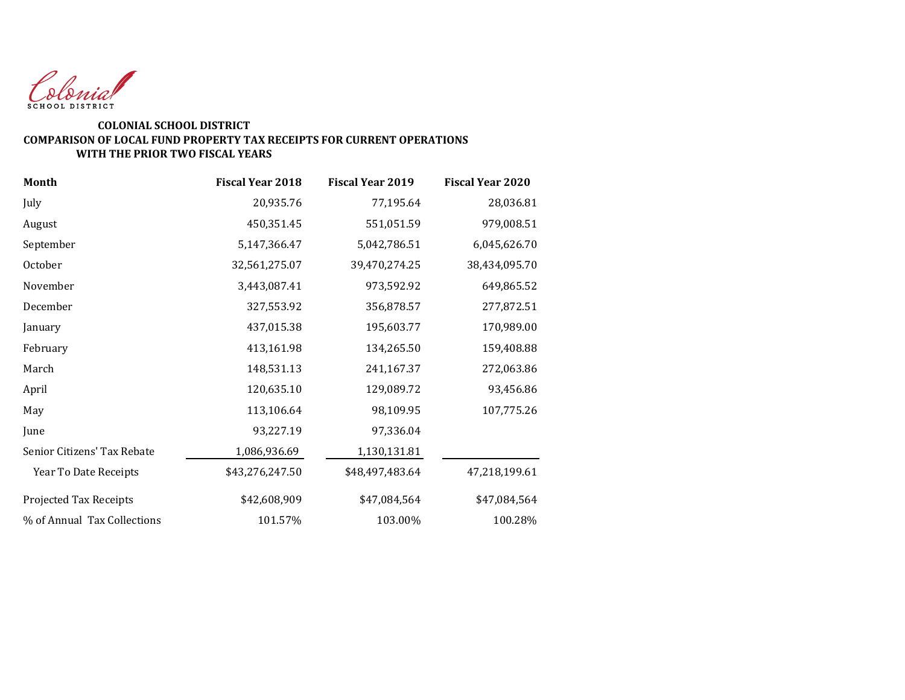

#### **COMPARISON OF LOCAL FUND PROPERTY TAX RECEIPTS FOR CURRENT OPERATIONS COLONIAL SCHOOL DISTRICT WITH THE PRIOR TWO FISCAL YEARS**

| Month                       | <b>Fiscal Year 2018</b> | <b>Fiscal Year 2019</b> | <b>Fiscal Year 2020</b> |
|-----------------------------|-------------------------|-------------------------|-------------------------|
| July                        | 20,935.76               | 77,195.64               | 28,036.81               |
| August                      | 450,351.45              | 551,051.59              | 979,008.51              |
| September                   | 5,147,366.47            | 5,042,786.51            | 6,045,626.70            |
| October                     | 32,561,275.07           | 39,470,274.25           | 38,434,095.70           |
| November                    | 3,443,087.41            | 973,592.92              | 649,865.52              |
| December                    | 327,553.92              | 356,878.57              | 277,872.51              |
| January                     | 437,015.38              | 195,603.77              | 170,989.00              |
| February                    | 413,161.98              | 134,265.50              | 159,408.88              |
| March                       | 148,531.13              | 241,167.37              | 272,063.86              |
| April                       | 120,635.10              | 129,089.72              | 93,456.86               |
| May                         | 113,106.64              | 98,109.95               | 107,775.26              |
| June                        | 93,227.19               | 97,336.04               |                         |
| Senior Citizens' Tax Rebate | 1,086,936.69            | 1,130,131.81            |                         |
| Year To Date Receipts       | \$43,276,247.50         | \$48,497,483.64         | 47,218,199.61           |
| Projected Tax Receipts      | \$42,608,909            | \$47,084,564            | \$47,084,564            |
| % of Annual Tax Collections | 101.57%                 | 103.00%                 | 100.28%                 |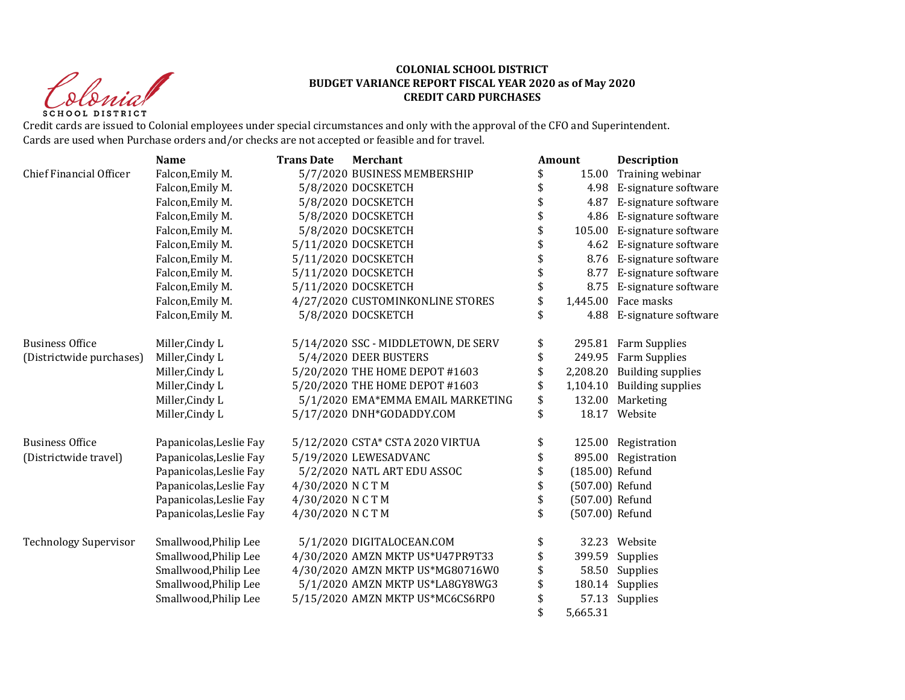Christ **SCHOOL DISTRICT** 

#### **COLONIAL SCHOOL DISTRICT BUDGET VARIANCE REPORT FISCAL YEAR 2020 as of May 2020 CREDIT CARD PURCHASES**

Credit cards are issued to Colonial employees under special circumstances and only with the approval of the CFO and Superintendent. Cards are used when Purchase orders and/or checks are not accepted or feasible and for travel.

|                                | <b>Name</b>             | <b>Trans Date</b> | Merchant                            | Amount                | <b>Description</b>       |
|--------------------------------|-------------------------|-------------------|-------------------------------------|-----------------------|--------------------------|
| <b>Chief Financial Officer</b> | Falcon, Emily M.        |                   | 5/7/2020 BUSINESS MEMBERSHIP        | \$<br>15.00           | Training webinar         |
|                                | Falcon, Emily M.        |                   | 5/8/2020 DOCSKETCH                  | \$<br>4.98            | E-signature software     |
|                                | Falcon, Emily M.        |                   | 5/8/2020 DOCSKETCH                  | 4.87                  | E-signature software     |
|                                | Falcon, Emily M.        |                   | 5/8/2020 DOCSKETCH                  | \$<br>4.86            | E-signature software     |
|                                | Falcon, Emily M.        |                   | 5/8/2020 DOCSKETCH                  | \$<br>105.00          | E-signature software     |
|                                | Falcon, Emily M.        |                   | 5/11/2020 DOCSKETCH                 | \$<br>4.62            | E-signature software     |
|                                | Falcon, Emily M.        |                   | 5/11/2020 DOCSKETCH                 | \$<br>8.76            | E-signature software     |
|                                | Falcon, Emily M.        |                   | 5/11/2020 DOCSKETCH                 | \$<br>8.77            | E-signature software     |
|                                | Falcon, Emily M.        |                   | 5/11/2020 DOCSKETCH                 | \$<br>8.75            | E-signature software     |
|                                | Falcon, Emily M.        |                   | 4/27/2020 CUSTOMINKONLINE STORES    | \$<br>1,445.00        | Face masks               |
|                                | Falcon, Emily M.        |                   | 5/8/2020 DOCSKETCH                  | 4.88                  | E-signature software     |
| <b>Business Office</b>         | Miller, Cindy L         |                   | 5/14/2020 SSC - MIDDLETOWN, DE SERV | \$<br>295.81          | Farm Supplies            |
| (Districtwide purchases)       | Miller, Cindy L         |                   | 5/4/2020 DEER BUSTERS               | \$                    | 249.95 Farm Supplies     |
|                                | Miller, Cindy L         |                   | 5/20/2020 THE HOME DEPOT #1603      | \$<br>2,208.20        | <b>Building supplies</b> |
|                                | Miller, Cindy L         |                   | 5/20/2020 THE HOME DEPOT #1603      | \$<br>1,104.10        | <b>Building supplies</b> |
|                                | Miller, Cindy L         |                   | 5/1/2020 EMA*EMMA EMAIL MARKETING   | \$<br>132.00          | Marketing                |
|                                | Miller, Cindy L         |                   | 5/17/2020 DNH*GODADDY.COM           | \$                    | 18.17 Website            |
| <b>Business Office</b>         | Papanicolas, Leslie Fay |                   | 5/12/2020 CSTA* CSTA 2020 VIRTUA    | \$                    | 125.00 Registration      |
| (Districtwide travel)          | Papanicolas, Leslie Fay |                   | 5/19/2020 LEWESADVANC               |                       | 895.00 Registration      |
|                                | Papanicolas, Leslie Fay |                   | 5/2/2020 NATL ART EDU ASSOC         | \$<br>(185.00) Refund |                          |
|                                | Papanicolas, Leslie Fay | 4/30/2020 NCTM    |                                     | \$<br>(507.00) Refund |                          |
|                                | Papanicolas, Leslie Fay | 4/30/2020 NCTM    |                                     | \$<br>(507.00) Refund |                          |
|                                | Papanicolas, Leslie Fay | 4/30/2020 NCTM    |                                     | \$<br>(507.00) Refund |                          |
| <b>Technology Supervisor</b>   | Smallwood, Philip Lee   |                   | 5/1/2020 DIGITALOCEAN.COM           | \$<br>32.23           | Website                  |
|                                | Smallwood, Philip Lee   |                   | 4/30/2020 AMZN MKTP US*U47PR9T33    | \$<br>399.59          | Supplies                 |
|                                | Smallwood, Philip Lee   |                   | 4/30/2020 AMZN MKTP US*MG80716W0    | \$<br>58.50           | Supplies                 |
|                                | Smallwood, Philip Lee   |                   | 5/1/2020 AMZN MKTP US*LA8GY8WG3     | \$<br>180.14          | Supplies                 |
|                                | Smallwood, Philip Lee   |                   | 5/15/2020 AMZN MKTP US*MC6CS6RP0    | 57.13                 | Supplies                 |
|                                |                         |                   |                                     | 5,665.31              |                          |